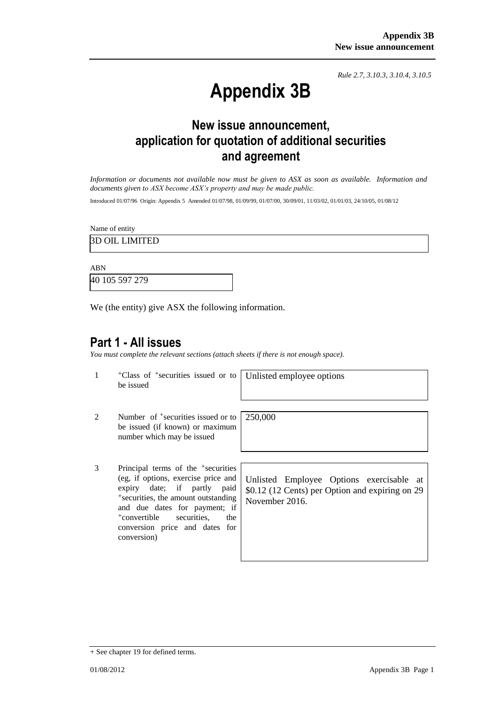*Rule 2.7, 3.10.3, 3.10.4, 3.10.5*

# **Appendix 3B**

# **New issue announcement, application for quotation of additional securities and agreement**

*Information or documents not available now must be given to ASX as soon as available. Information and documents given to ASX become ASX's property and may be made public.*

Introduced 01/07/96 Origin: Appendix 5 Amended 01/07/98, 01/09/99, 01/07/00, 30/09/01, 11/03/02, 01/01/03, 24/10/05, 01/08/12

Name of entity

3D OIL LIMITED

ABN 40 105 597 279

We (the entity) give ASX the following information.

### **Part 1 - All issues**

*You must complete the relevant sections (attach sheets if there is not enough space).*

1 +Class of +securities issued or to be issued

Unlisted employee options

250,000

- 2 Number of <sup>+</sup>securities issued or to be issued (if known) or maximum number which may be issued
- 3 Principal terms of the +securities (eg, if options, exercise price and expiry date; if partly paid +securities, the amount outstanding and due dates for payment; if +convertible securities, the conversion price and dates for conversion)

Unlisted Employee Options exercisable at \$0.12 (12 Cents) per Option and expiring on 29 November 2016.

<sup>+</sup> See chapter 19 for defined terms.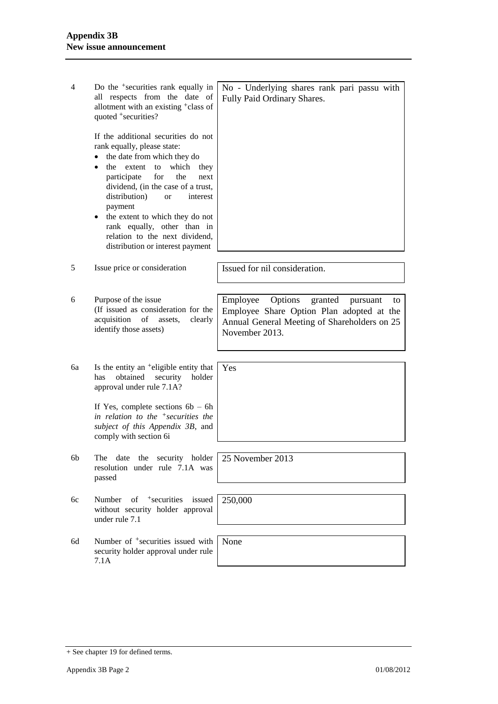| 4  | Do the <sup>+</sup> securities rank equally in<br>all respects from the date of<br>allotment with an existing <sup>+</sup> class of<br>quoted +securities?                                                                                                                                                                                                                                                            | No - Underlying shares rank pari passu with<br>Fully Paid Ordinary Shares.                                                                                      |
|----|-----------------------------------------------------------------------------------------------------------------------------------------------------------------------------------------------------------------------------------------------------------------------------------------------------------------------------------------------------------------------------------------------------------------------|-----------------------------------------------------------------------------------------------------------------------------------------------------------------|
|    | If the additional securities do not<br>rank equally, please state:<br>the date from which they do<br>extent<br>which<br>the<br>to<br>they<br>participate<br>for<br>the<br>next<br>dividend, (in the case of a trust,<br>distribution)<br><sub>or</sub><br>interest<br>payment<br>the extent to which they do not<br>rank equally, other than in<br>relation to the next dividend,<br>distribution or interest payment |                                                                                                                                                                 |
| 5  | Issue price or consideration                                                                                                                                                                                                                                                                                                                                                                                          | Issued for nil consideration.                                                                                                                                   |
| 6  | Purpose of the issue<br>(If issued as consideration for the<br>acquisition<br>of<br>clearly<br>assets,<br>identify those assets)                                                                                                                                                                                                                                                                                      | Employee<br>Options<br>granted<br>pursuant<br>to<br>Employee Share Option Plan adopted at the<br>Annual General Meeting of Shareholders on 25<br>November 2013. |
| бa | Is the entity an <sup>+</sup> eligible entity that<br>obtained<br>holder<br>has<br>security<br>approval under rule 7.1A?                                                                                                                                                                                                                                                                                              | Yes                                                                                                                                                             |
|    | If Yes, complete sections $6b - 6h$<br>in relation to the $+$ securities the<br>subject of this Appendix 3B, and<br>comply with section 6i                                                                                                                                                                                                                                                                            |                                                                                                                                                                 |
| 6b | date<br>the security holder<br>The<br>resolution under rule 7.1A was<br>passed                                                                                                                                                                                                                                                                                                                                        | 25 November 2013                                                                                                                                                |
| 6c | +securities<br>issued<br>Number<br>of<br>without security holder approval<br>under rule 7.1                                                                                                                                                                                                                                                                                                                           | 250,000                                                                                                                                                         |
| 6d | Number of <sup>+</sup> securities issued with<br>security holder approval under rule<br>7.1A                                                                                                                                                                                                                                                                                                                          | None                                                                                                                                                            |

<sup>+</sup> See chapter 19 for defined terms.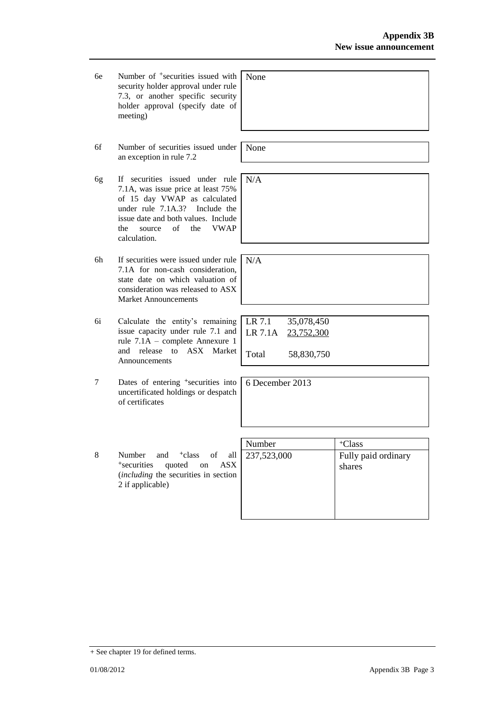- 6f Number of securities issued under an exception in rule 7.2
- 6g If securities issued under rule 7.1A, was issue price at least 75% of 15 day VWAP as calculated under rule 7.1A.3? Include the issue date and both values. Include the source of the VWAP calculation.
- 6h If securities were issued under rule 7.1A for non-cash consideration, state date on which valuation of consideration was released to ASX Market Announcements
- 6i Calculate the entity's remaining issue capacity under rule 7.1 and rule 7.1A – complete Annexure 1 and release to ASX Market Announcements
- 7 Dates of entering <sup>+</sup>securities into uncertificated holdings or despatch of certificates
- 8 Number and <sup>+</sup>class of all <sup>+</sup>securities quoted on ASX (*including* the securities in section 2 if applicable)

| Number      | <sup>+</sup> Class            |
|-------------|-------------------------------|
| 237,523,000 | Fully paid ordinary<br>shares |
|             |                               |

| None |  |
|------|--|
|      |  |
|      |  |

None

N/A

N/A

| LR 7.1 | 35,078,450<br>LR 7.1A 23,752,300 |  |
|--------|----------------------------------|--|
| Total  | 58,830,750                       |  |

6 December 2013

+ See chapter 19 for defined terms.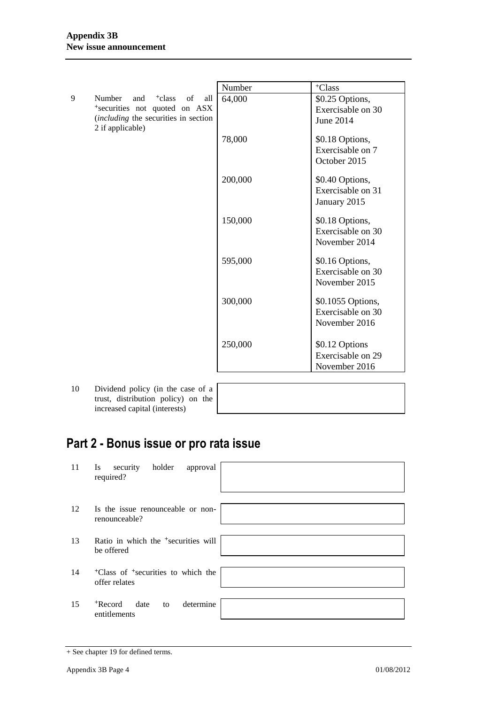|                  |                                                                                                                          | Number                                              | <sup>+</sup> Class                                      |
|------------------|--------------------------------------------------------------------------------------------------------------------------|-----------------------------------------------------|---------------------------------------------------------|
| 9                | Number and <sup>+</sup> class of<br>all<br>*securities not quoted on ASX<br><i>(including the securities in section)</i> | 64,000                                              | \$0.25 Options,<br>Exercisable on 30<br>June 2014       |
| 2 if applicable) | 78,000                                                                                                                   | \$0.18 Options,<br>Exercisable on 7<br>October 2015 |                                                         |
|                  |                                                                                                                          | 200,000                                             | \$0.40 Options,<br>Exercisable on 31<br>January 2015    |
|                  |                                                                                                                          | 150,000                                             | \$0.18 Options,<br>Exercisable on 30<br>November 2014   |
|                  |                                                                                                                          | 595,000                                             | \$0.16 Options,<br>Exercisable on 30<br>November 2015   |
|                  |                                                                                                                          | 300,000                                             | \$0.1055 Options,<br>Exercisable on 30<br>November 2016 |
|                  |                                                                                                                          | 250,000                                             | \$0.12 Options<br>Exercisable on 29<br>November 2016    |

10 Dividend policy (in the case of a trust, distribution policy) on the increased capital (interests)

| ,我们也不会有一个人的事情。""我们的人,我们也不会有一个人的人,我们也不会有一个人的人,我们也不会有一个人的人,我们也不会有一个人的人,我们也不会有一个人的人, |  |  |
|-----------------------------------------------------------------------------------|--|--|
|                                                                                   |  |  |
|                                                                                   |  |  |
|                                                                                   |  |  |
|                                                                                   |  |  |
|                                                                                   |  |  |
|                                                                                   |  |  |

# **Part 2 - Bonus issue or pro rata issue**

| 11 | holder<br>security<br>approval<br><b>Is</b><br>required?                    |  |
|----|-----------------------------------------------------------------------------|--|
|    |                                                                             |  |
| 12 | Is the issue renounceable or non-<br>renounceable?                          |  |
|    |                                                                             |  |
| 13 | Ratio in which the <sup>+</sup> securities will<br>be offered               |  |
|    |                                                                             |  |
| 14 | <sup>+</sup> Class of <sup>+</sup> securities to which the<br>offer relates |  |
|    |                                                                             |  |
| 15 | <sup>+</sup> Record<br>determine<br>date<br>to<br>entitlements              |  |
|    |                                                                             |  |

<sup>+</sup> See chapter 19 for defined terms.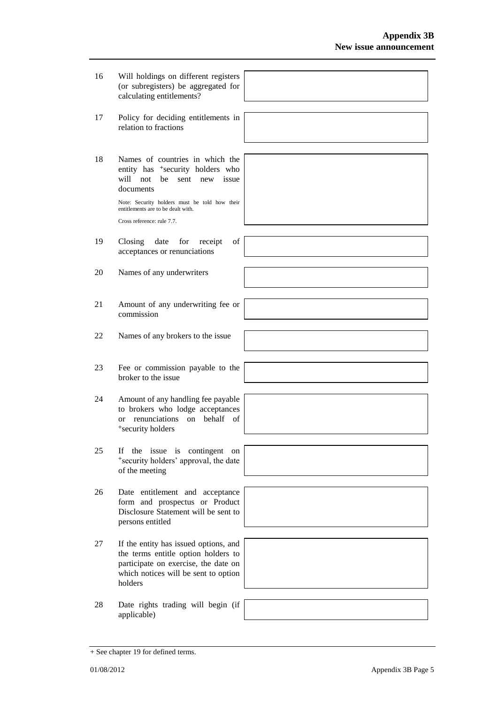| 16 | Will holdings on different registers<br>(or subregisters) be aggregated for<br>calculating entitlements?                                                                                                                                                 |  |
|----|----------------------------------------------------------------------------------------------------------------------------------------------------------------------------------------------------------------------------------------------------------|--|
| 17 | Policy for deciding entitlements in<br>relation to fractions                                                                                                                                                                                             |  |
| 18 | Names of countries in which the<br>entity has <sup>+</sup> security holders who<br>will not<br>be<br>sent<br>new issue<br>documents<br>Note: Security holders must be told how their<br>entitlements are to be dealt with.<br>Cross reference: rule 7.7. |  |
| 19 | $\frac{1}{2}$<br>date<br>for<br>of<br>receipt<br>acceptances or renunciations                                                                                                                                                                            |  |
| 20 | Names of any underwriters                                                                                                                                                                                                                                |  |
| 21 | Amount of any underwriting fee or<br>commission                                                                                                                                                                                                          |  |
| 22 | Names of any brokers to the issue                                                                                                                                                                                                                        |  |
| 23 | Fee or commission payable to the<br>broker to the issue                                                                                                                                                                                                  |  |
| 24 | Amount of any handling fee payable<br>to brokers who lodge acceptances<br>renunciations on behalf of<br><sub>or</sub><br>*security holders                                                                                                               |  |
| 25 | If the issue is contingent on<br>*security holders' approval, the date<br>of the meeting                                                                                                                                                                 |  |
| 26 | Date entitlement and acceptance<br>form and prospectus or Product<br>Disclosure Statement will be sent to<br>persons entitled                                                                                                                            |  |
| 27 | If the entity has issued options, and<br>the terms entitle option holders to<br>participate on exercise, the date on<br>which notices will be sent to option<br>holders                                                                                  |  |
| 28 | Date rights trading will begin (if                                                                                                                                                                                                                       |  |
|    | applicable)                                                                                                                                                                                                                                              |  |

<sup>+</sup> See chapter 19 for defined terms.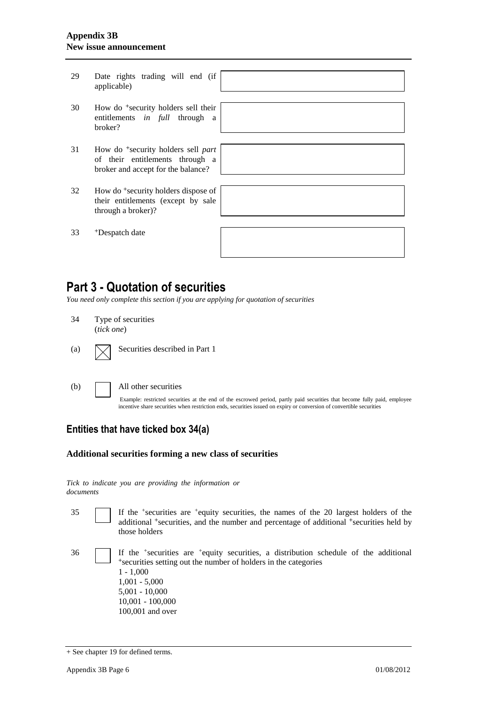#### **Appendix 3B New issue announcement**

29 Date rights trading will end (if applicable) 30 How do <sup>+</sup>security holders sell their entitlements *in full* through a broker? 31 How do <sup>+</sup>security holders sell *part* of their entitlements through a broker and accept for the balance? 32 How do <sup>+</sup>security holders dispose of their entitlements (except by sale through a broker)? 33 <sup>+</sup>Despatch date

# **Part 3 - Quotation of securities**

*You need only complete this section if you are applying for quotation of securities*

34 Type of securities (*tick one*) (a)  $\bigvee$  Securities described in Part 1 (b) All other securities Example: restricted securities at the end of the escrowed period, partly paid securities that become fully paid, employee incentive share securities when restriction ends, securities issued on expiry or conversion of convertible securities

#### **Entities that have ticked box 34(a)**

#### **Additional securities forming a new class of securities**

*Tick to indicate you are providing the information or documents*

35 If the <sup>+</sup> securities are <sup>+</sup>equity securities, the names of the 20 largest holders of the additional <sup>+</sup>securities, and the number and percentage of additional <sup>+</sup>securities held by those holders

36 If the <sup>+</sup> securities are <sup>+</sup>equity securities, a distribution schedule of the additional <sup>+</sup>securities setting out the number of holders in the categories 1 - 1,000 1,001 - 5,000 5,001 - 10,000 10,001 - 100,000 100,001 and over

<sup>+</sup> See chapter 19 for defined terms.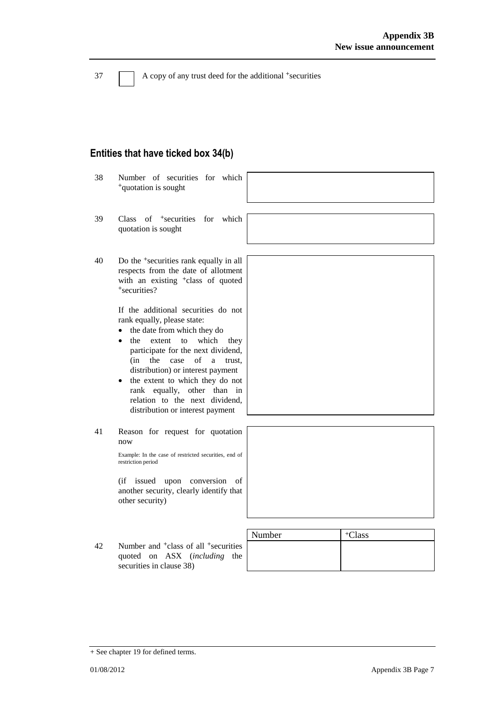37 A copy of any trust deed for the additional +securities

#### **Entities that have ticked box 34(b)**

38 Number of securities for which <sup>+</sup>quotation is sought 39 Class of <sup>+</sup>securities for which quotation is sought 40 Do the <sup>+</sup>securities rank equally in all respects from the date of allotment with an existing <sup>+</sup>class of quoted <sup>+</sup>securities? If the additional securities do not rank equally, please state: • the date from which they do • the extent to which they participate for the next dividend, (in the case of a trust, distribution) or interest payment • the extent to which they do not rank equally, other than in relation to the next dividend, distribution or interest payment 41 Reason for request for quotation now Example: In the case of restricted securities, end of restriction period (if issued upon conversion of another security, clearly identify that other security) Number | +Class 42 Number and <sup>+</sup>class of all <sup>+</sup>securities

quoted on ASX (*including* the

securities in clause 38)

<sup>+</sup> See chapter 19 for defined terms.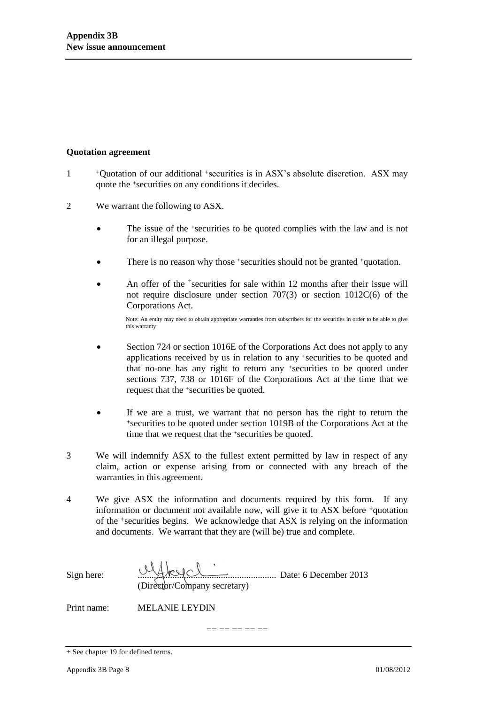#### **Quotation agreement**

- 1 <sup>+</sup>Quotation of our additional +securities is in ASX's absolute discretion. ASX may quote the +securities on any conditions it decides.
- 2 We warrant the following to ASX.
	- The issue of the +securities to be quoted complies with the law and is not for an illegal purpose.
	- There is no reason why those +securities should not be granted +quotation.
	- An offer of the <sup>+</sup>securities for sale within 12 months after their issue will not require disclosure under section 707(3) or section 1012C(6) of the Corporations Act.

Note: An entity may need to obtain appropriate warranties from subscribers for the securities in order to be able to give this warranty

- Section 724 or section 1016E of the Corporations Act does not apply to any applications received by us in relation to any +securities to be quoted and that no-one has any right to return any +securities to be quoted under sections 737, 738 or 1016F of the Corporations Act at the time that we request that the +securities be quoted.
- If we are a trust, we warrant that no person has the right to return the <sup>+</sup>securities to be quoted under section 1019B of the Corporations Act at the time that we request that the +securities be quoted.
- 3 We will indemnify ASX to the fullest extent permitted by law in respect of any claim, action or expense arising from or connected with any breach of the warranties in this agreement.
- 4 We give ASX the information and documents required by this form. If any information or document not available now, will give it to ASX before +quotation of the <sup>+</sup>securities begins. We acknowledge that ASX is relying on the information and documents. We warrant that they are (will be) true and complete.

| Sign here: | $U_{\text{rel}}$<br>$Date: 6$ December 2013 |  |
|------------|---------------------------------------------|--|
|            | (Directbr/Company secretary)                |  |

Print name: MELANIE LEYDIN

 $=$   $=$   $=$   $=$   $=$   $=$ 

<sup>+</sup> See chapter 19 for defined terms.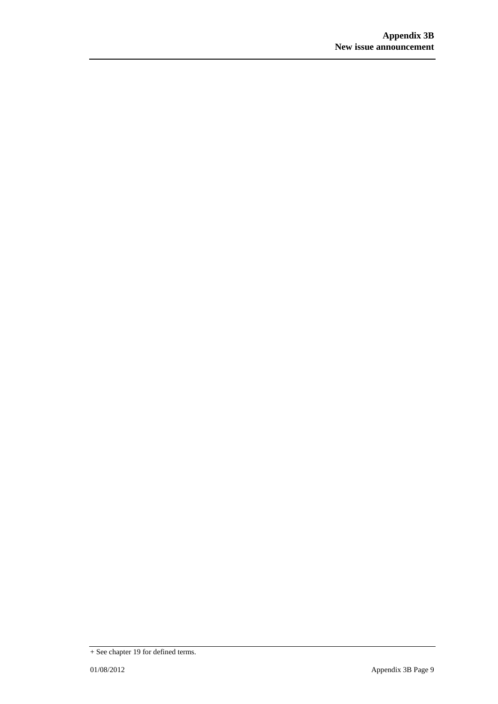<sup>+</sup> See chapter 19 for defined terms.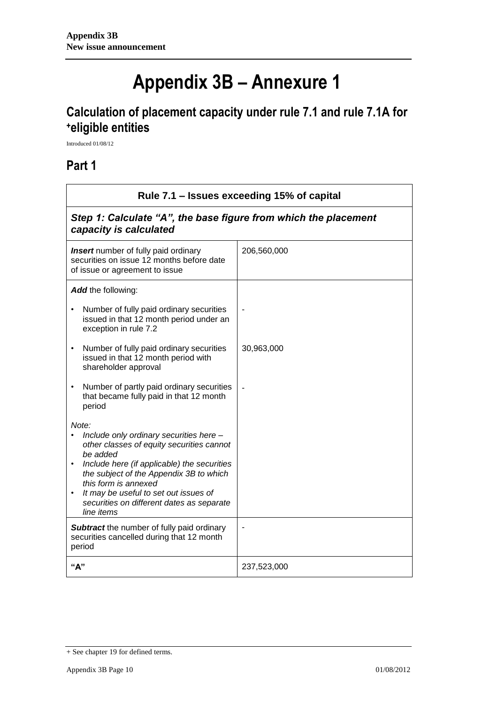# **Appendix 3B – Annexure 1**

# **Calculation of placement capacity under rule 7.1 and rule 7.1A for <sup>+</sup>eligible entities**

Introduced 01/08/12

### **Part 1**

| Rule 7.1 - Issues exceeding 15% of capital                                                                                                                                                                                                                                                                                      |             |  |
|---------------------------------------------------------------------------------------------------------------------------------------------------------------------------------------------------------------------------------------------------------------------------------------------------------------------------------|-------------|--|
| Step 1: Calculate "A", the base figure from which the placement<br>capacity is calculated                                                                                                                                                                                                                                       |             |  |
| <b>Insert</b> number of fully paid ordinary<br>securities on issue 12 months before date<br>of issue or agreement to issue                                                                                                                                                                                                      | 206,560,000 |  |
| Add the following:                                                                                                                                                                                                                                                                                                              |             |  |
| Number of fully paid ordinary securities<br>issued in that 12 month period under an<br>exception in rule 7.2                                                                                                                                                                                                                    |             |  |
| Number of fully paid ordinary securities<br>issued in that 12 month period with<br>shareholder approval                                                                                                                                                                                                                         | 30,963,000  |  |
| Number of partly paid ordinary securities<br>that became fully paid in that 12 month<br>period                                                                                                                                                                                                                                  |             |  |
| Note:<br>Include only ordinary securities here -<br>other classes of equity securities cannot<br>be added<br>Include here (if applicable) the securities<br>the subject of the Appendix 3B to which<br>this form is annexed<br>It may be useful to set out issues of<br>securities on different dates as separate<br>line items |             |  |
| <b>Subtract</b> the number of fully paid ordinary<br>securities cancelled during that 12 month<br>period                                                                                                                                                                                                                        |             |  |
| "А"                                                                                                                                                                                                                                                                                                                             | 237,523,000 |  |

<sup>+</sup> See chapter 19 for defined terms.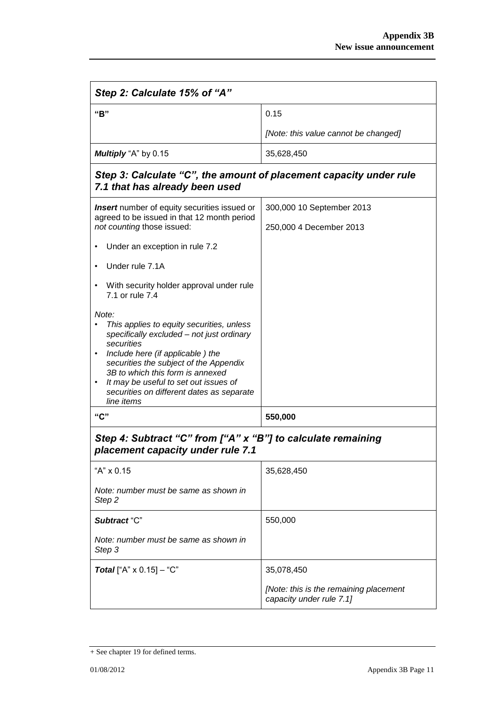| Step 2: Calculate 15% of "A"                                                                                                                                                                                                                                                                                                                                                                                                                                                                         |                                                                    |  |  |
|------------------------------------------------------------------------------------------------------------------------------------------------------------------------------------------------------------------------------------------------------------------------------------------------------------------------------------------------------------------------------------------------------------------------------------------------------------------------------------------------------|--------------------------------------------------------------------|--|--|
| "B"                                                                                                                                                                                                                                                                                                                                                                                                                                                                                                  | 0.15                                                               |  |  |
|                                                                                                                                                                                                                                                                                                                                                                                                                                                                                                      | [Note: this value cannot be changed]                               |  |  |
| Multiply "A" by 0.15                                                                                                                                                                                                                                                                                                                                                                                                                                                                                 | 35,628,450                                                         |  |  |
| Step 3: Calculate "C", the amount of placement capacity under rule<br>7.1 that has already been used                                                                                                                                                                                                                                                                                                                                                                                                 |                                                                    |  |  |
| <b>Insert</b> number of equity securities issued or<br>agreed to be issued in that 12 month period<br>not counting those issued:<br>Under an exception in rule 7.2<br>Under rule 7.1A<br>With security holder approval under rule<br>7.1 or rule 7.4<br>Note:<br>This applies to equity securities, unless<br>specifically excluded - not just ordinary<br>securities<br>Include here (if applicable) the<br>$\bullet$<br>securities the subject of the Appendix<br>3B to which this form is annexed | 300,000 10 September 2013<br>250,000 4 December 2013               |  |  |
| It may be useful to set out issues of<br>securities on different dates as separate<br>line items                                                                                                                                                                                                                                                                                                                                                                                                     |                                                                    |  |  |
| "C"                                                                                                                                                                                                                                                                                                                                                                                                                                                                                                  | 550,000                                                            |  |  |
| Step 4: Subtract "C" from ["A" x "B"] to calculate remaining<br>placement capacity under rule 7.1                                                                                                                                                                                                                                                                                                                                                                                                    |                                                                    |  |  |
| "A" x 0.15                                                                                                                                                                                                                                                                                                                                                                                                                                                                                           | 35,628,450                                                         |  |  |
| Note: number must be same as shown in<br>Step <sub>2</sub>                                                                                                                                                                                                                                                                                                                                                                                                                                           |                                                                    |  |  |
| Subtract "C"                                                                                                                                                                                                                                                                                                                                                                                                                                                                                         | 550,000                                                            |  |  |
| Note: number must be same as shown in<br>Step 3                                                                                                                                                                                                                                                                                                                                                                                                                                                      |                                                                    |  |  |
| <b>Total</b> ["A" $\times$ 0.15] - "C"                                                                                                                                                                                                                                                                                                                                                                                                                                                               | 35,078,450                                                         |  |  |
|                                                                                                                                                                                                                                                                                                                                                                                                                                                                                                      | [Note: this is the remaining placement<br>capacity under rule 7.1] |  |  |

<sup>+</sup> See chapter 19 for defined terms.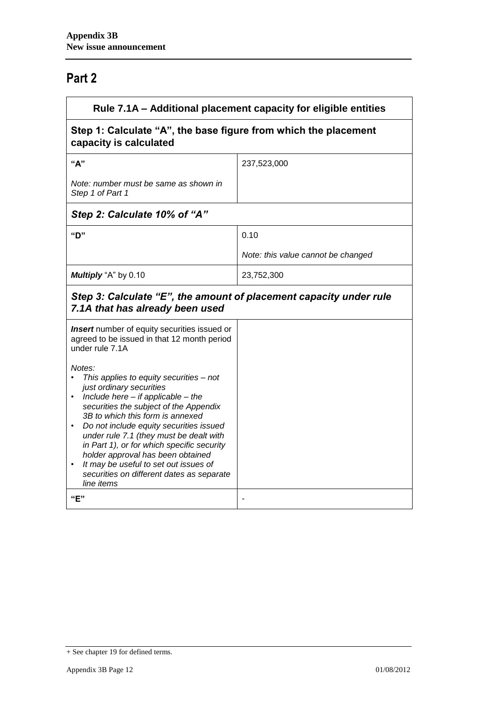# **Part 2**

| Rule 7.1A – Additional placement capacity for eligible entities                                                                                                                                                                                                                                                                                                                                                                                                                                                           |                                    |  |
|---------------------------------------------------------------------------------------------------------------------------------------------------------------------------------------------------------------------------------------------------------------------------------------------------------------------------------------------------------------------------------------------------------------------------------------------------------------------------------------------------------------------------|------------------------------------|--|
| Step 1: Calculate "A", the base figure from which the placement<br>capacity is calculated                                                                                                                                                                                                                                                                                                                                                                                                                                 |                                    |  |
| "А"                                                                                                                                                                                                                                                                                                                                                                                                                                                                                                                       | 237,523,000                        |  |
| Note: number must be same as shown in<br>Step 1 of Part 1                                                                                                                                                                                                                                                                                                                                                                                                                                                                 |                                    |  |
| Step 2: Calculate 10% of "A"                                                                                                                                                                                                                                                                                                                                                                                                                                                                                              |                                    |  |
| "D"                                                                                                                                                                                                                                                                                                                                                                                                                                                                                                                       | 0.10                               |  |
|                                                                                                                                                                                                                                                                                                                                                                                                                                                                                                                           | Note: this value cannot be changed |  |
| Multiply "A" by 0.10                                                                                                                                                                                                                                                                                                                                                                                                                                                                                                      | 23,752,300                         |  |
| Step 3: Calculate "E", the amount of placement capacity under rule<br>7.1A that has already been used                                                                                                                                                                                                                                                                                                                                                                                                                     |                                    |  |
| <b>Insert</b> number of equity securities issued or<br>agreed to be issued in that 12 month period<br>under rule 7.1A                                                                                                                                                                                                                                                                                                                                                                                                     |                                    |  |
| Notes:<br>This applies to equity securities - not<br>just ordinary securities<br>Include here $-$ if applicable $-$ the<br>$\bullet$<br>securities the subject of the Appendix<br>3B to which this form is annexed<br>Do not include equity securities issued<br>$\bullet$<br>under rule 7.1 (they must be dealt with<br>in Part 1), or for which specific security<br>holder approval has been obtained<br>It may be useful to set out issues of<br>$\bullet$<br>securities on different dates as separate<br>line items |                                    |  |
| "E"                                                                                                                                                                                                                                                                                                                                                                                                                                                                                                                       |                                    |  |

<sup>+</sup> See chapter 19 for defined terms.